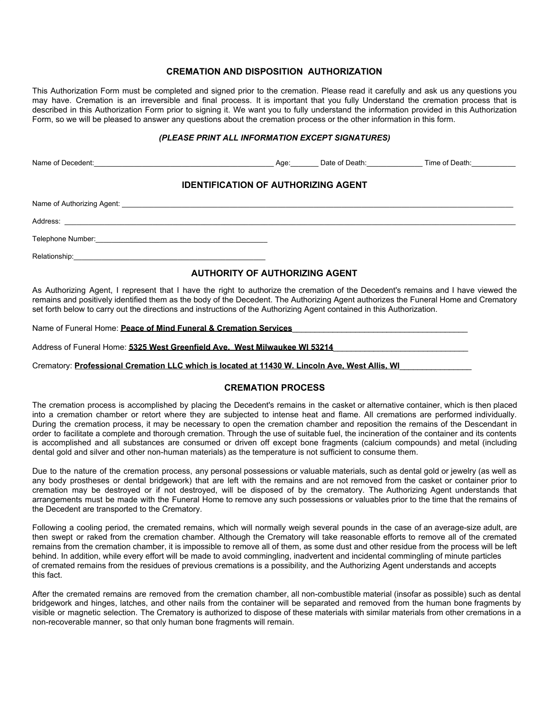### **CREMATION AND DISPOSITION AUTHORIZATION**

This Authorization Form must be completed and signed prior to the cremation. Please read it carefully and ask us any questions you may have. Cremation is an irreversible and final process. It is important that you fully Understand the cremation process that is described in this Authorization Form prior to signing it. We want you to fully understand the information provided in this Authorization Form, so we will be pleased to answer any questions about the cremation process or the other information in this form.

#### *(PLEASE PRINT ALL INFORMATION EXCEPT SIGNATURES)*

| Name of Decedent: Contract Contract Contract Contract Contract Contract Contract Contract Contract Contract Contract Contract Contract Contract Contract Contract Contract Contract Contract Contract Contract Contract Contra |  |  |  |  |
|--------------------------------------------------------------------------------------------------------------------------------------------------------------------------------------------------------------------------------|--|--|--|--|
| <b>IDENTIFICATION OF AUTHORIZING AGENT</b>                                                                                                                                                                                     |  |  |  |  |
|                                                                                                                                                                                                                                |  |  |  |  |
|                                                                                                                                                                                                                                |  |  |  |  |
|                                                                                                                                                                                                                                |  |  |  |  |
|                                                                                                                                                                                                                                |  |  |  |  |

### **AUTHORITY OF AUTHORIZING AGENT**

As Authorizing Agent, I represent that I have the right to authorize the cremation of the Decedent's remains and I have viewed the remains and positively identified them as the body of the Decedent. The Authorizing Agent authorizes the Funeral Home and Crematory set forth below to carry out the directions and instructions of the Authorizing Agent contained in this Authorization.

Name of Funeral Home: **Peace of Mind Funeral & Cremation Services** 

Address of Funeral Home: 5325 West Greenfield Ave. West Milwaukee WI 53214

Crematory: **Professional Cremation LLC which is located at 11430 W. Lincoln Ave, West Allis, WI**\_\_\_\_\_\_\_\_\_\_\_\_\_\_\_\_

# **CREMATION PROCESS**

The cremation process is accomplished by placing the Decedent's remains in the casket or alternative container, which is then placed into a cremation chamber or retort where they are subjected to intense heat and flame. All cremations are performed individually. During the cremation process, it may be necessary to open the cremation chamber and reposition the remains of the Descendant in order to facilitate a complete and thorough cremation. Through the use of suitable fuel, the incineration of the container and its contents is accomplished and all substances are consumed or driven off except bone fragments (calcium compounds) and metal (including dental gold and silver and other non-human materials) as the temperature is not sufficient to consume them.

Due to the nature of the cremation process, any personal possessions or valuable materials, such as dental gold or jewelry (as well as any body prostheses or dental bridgework) that are left with the remains and are not removed from the casket or container prior to cremation may be destroyed or if not destroyed, will be disposed of by the crematory. The Authorizing Agent understands that arrangements must be made with the Funeral Home to remove any such possessions or valuables prior to the time that the remains of the Decedent are transported to the Crematory.

Following a cooling period, the cremated remains, which will normally weigh several pounds in the case of an average-size adult, are then swept or raked from the cremation chamber. Although the Crematory will take reasonable efforts to remove all of the cremated remains from the cremation chamber, it is impossible to remove all of them, as some dust and other residue from the process will be left behind. In addition, while every effort will be made to avoid commingling, inadvertent and incidental commingling of minute particles of cremated remains from the residues of previous cremations is a possibility, and the Authorizing Agent understands and accepts this fact.

After the cremated remains are removed from the cremation chamber, all non-combustible material (insofar as possible) such as dental bridgework and hinges, latches, and other nails from the container will be separated and removed from the human bone fragments by visible or magnetic selection. The Crematory is authorized to dispose of these materials with similar materials from other cremations in a non-recoverable manner, so that only human bone fragments will remain.